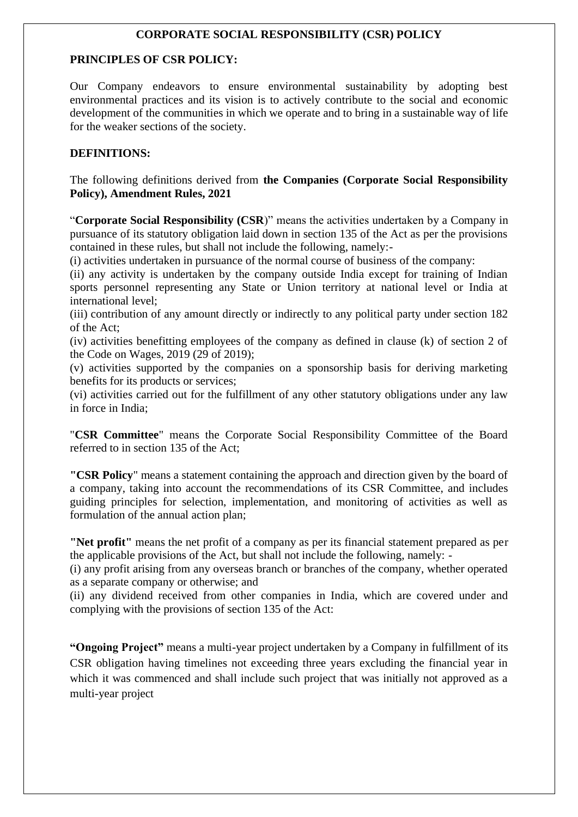## **CORPORATE SOCIAL RESPONSIBILITY (CSR) POLICY**

#### **PRINCIPLES OF CSR POLICY:**

Our Company endeavors to ensure environmental sustainability by adopting best environmental practices and its vision is to actively contribute to the social and economic development of the communities in which we operate and to bring in a sustainable way of life for the weaker sections of the society.

#### **DEFINITIONS:**

The following definitions derived from **the Companies (Corporate Social Responsibility Policy), Amendment Rules, 2021** 

"**Corporate Social Responsibility (CSR**)" means the activities undertaken by a Company in pursuance of its statutory obligation laid down in section 135 of the Act as per the provisions contained in these rules, but shall not include the following, namely:-

(i) activities undertaken in pursuance of the normal course of business of the company:

(ii) any activity is undertaken by the company outside India except for training of Indian sports personnel representing any State or Union territory at national level or India at international level;

(iii) contribution of any amount directly or indirectly to any political party under section 182 of the Act;

(iv) activities benefitting employees of the company as defined in clause (k) of section 2 of the Code on Wages, 2019 (29 of 2019);

(v) activities supported by the companies on a sponsorship basis for deriving marketing benefits for its products or services;

(vi) activities carried out for the fulfillment of any other statutory obligations under any law in force in India;

"**CSR Committee**" means the Corporate Social Responsibility Committee of the Board referred to in section 135 of the Act;

**"CSR Policy**" means a statement containing the approach and direction given by the board of a company, taking into account the recommendations of its CSR Committee, and includes guiding principles for selection, implementation, and monitoring of activities as well as formulation of the annual action plan;

**"Net profit"** means the net profit of a company as per its financial statement prepared as per the applicable provisions of the Act, but shall not include the following, namely: -

(i) any profit arising from any overseas branch or branches of the company, whether operated as a separate company or otherwise; and

(ii) any dividend received from other companies in India, which are covered under and complying with the provisions of section 135 of the Act:

**"Ongoing Project"** means a multi-year project undertaken by a Company in fulfillment of its CSR obligation having timelines not exceeding three years excluding the financial year in which it was commenced and shall include such project that was initially not approved as a multi-year project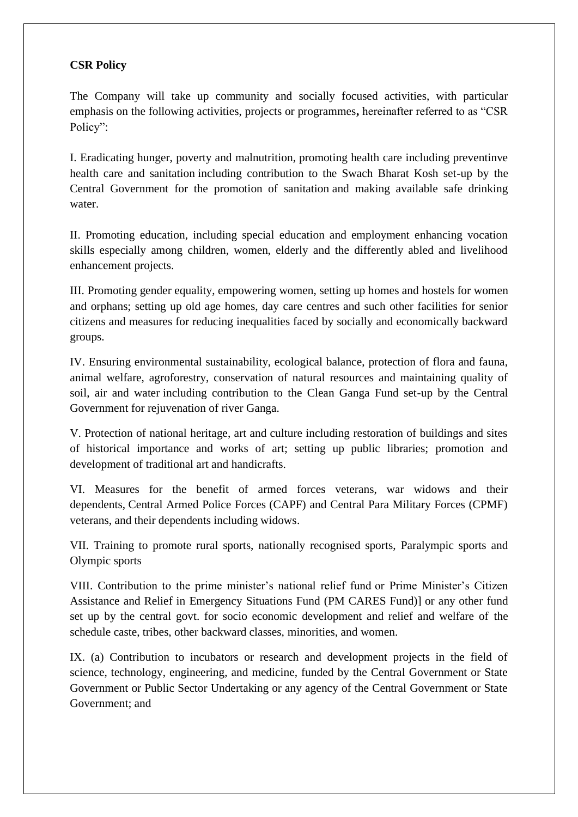## **CSR Policy**

The Company will take up community and socially focused activities, with particular emphasis on the following activities, projects or programmes**,** hereinafter referred to as "CSR Policy":

I. Eradicating hunger, poverty and malnutrition, promoting health care including preventinve health care and sanitation including contribution to the Swach Bharat Kosh set-up by the Central Government for the promotion of sanitation and making available safe drinking water.

II. Promoting education, including special education and employment enhancing vocation skills especially among children, women, elderly and the differently abled and livelihood enhancement projects.

III. Promoting gender equality, empowering women, setting up homes and hostels for women and orphans; setting up old age homes, day care centres and such other facilities for senior citizens and measures for reducing inequalities faced by socially and economically backward groups.

IV. Ensuring environmental sustainability, ecological balance, protection of flora and fauna, animal welfare, agroforestry, conservation of natural resources and maintaining quality of soil, air and water including contribution to the Clean Ganga Fund set-up by the Central Government for rejuvenation of river Ganga.

V. Protection of national heritage, art and culture including restoration of buildings and sites of historical importance and works of art; setting up public libraries; promotion and development of traditional art and handicrafts.

VI. Measures for the benefit of armed forces veterans, war widows and their dependents, Central Armed Police Forces (CAPF) and Central Para Military Forces (CPMF) veterans, and their dependents including widows.

VII. Training to promote rural sports, nationally recognised sports, Paralympic sports and Olympic sports

VIII. Contribution to the prime minister's national relief fund or Prime Minister's Citizen Assistance and Relief in Emergency Situations Fund (PM CARES Fund)] or any other fund set up by the central govt. for socio economic development and relief and welfare of the schedule caste, tribes, other backward classes, minorities, and women.

IX. (a) Contribution to incubators or research and development projects in the field of science, technology, engineering, and medicine, funded by the Central Government or State Government or Public Sector Undertaking or any agency of the Central Government or State Government; and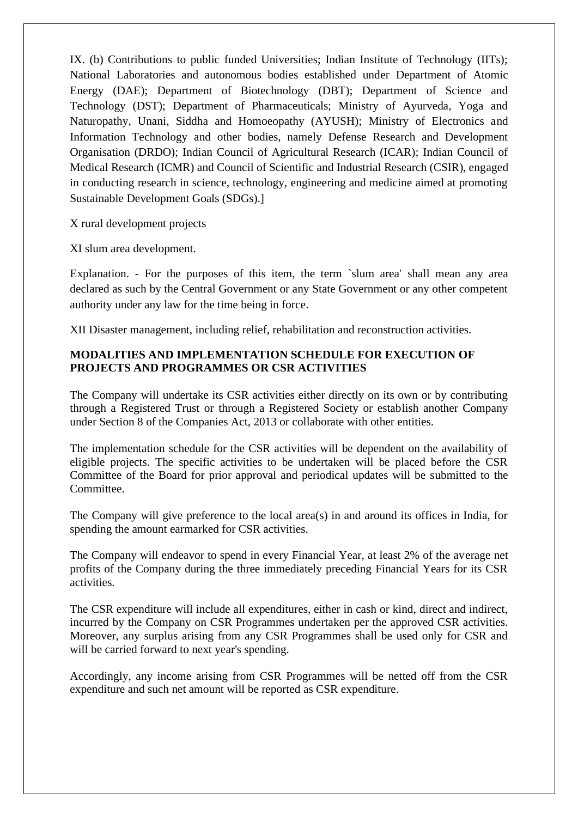IX. (b) Contributions to public funded Universities; Indian Institute of Technology (IITs); National Laboratories and autonomous bodies established under Department of Atomic Energy (DAE); Department of Biotechnology (DBT); Department of Science and Technology (DST); Department of Pharmaceuticals; Ministry of Ayurveda, Yoga and Naturopathy, Unani, Siddha and Homoeopathy (AYUSH); Ministry of Electronics and Information Technology and other bodies, namely Defense Research and Development Organisation (DRDO); Indian Council of Agricultural Research (ICAR); Indian Council of Medical Research (ICMR) and Council of Scientific and Industrial Research (CSIR), engaged in conducting research in science, technology, engineering and medicine aimed at promoting Sustainable Development Goals (SDGs).]

X rural development projects

XI slum area development.

Explanation. - For the purposes of this item, the term `slum area' shall mean any area declared as such by the Central Government or any State Government or any other competent authority under any law for the time being in force.

XII Disaster management, including relief, rehabilitation and reconstruction activities.

#### **MODALITIES AND IMPLEMENTATION SCHEDULE FOR EXECUTION OF PROJECTS AND PROGRAMMES OR CSR ACTIVITIES**

The Company will undertake its CSR activities either directly on its own or by contributing through a Registered Trust or through a Registered Society or establish another Company under Section 8 of the Companies Act, 2013 or collaborate with other entities.

The implementation schedule for the CSR activities will be dependent on the availability of eligible projects. The specific activities to be undertaken will be placed before the CSR Committee of the Board for prior approval and periodical updates will be submitted to the Committee.

The Company will give preference to the local area(s) in and around its offices in India, for spending the amount earmarked for CSR activities.

The Company will endeavor to spend in every Financial Year, at least 2% of the average net profits of the Company during the three immediately preceding Financial Years for its CSR activities.

The CSR expenditure will include all expenditures, either in cash or kind, direct and indirect, incurred by the Company on CSR Programmes undertaken per the approved CSR activities. Moreover, any surplus arising from any CSR Programmes shall be used only for CSR and will be carried forward to next year's spending.

Accordingly, any income arising from CSR Programmes will be netted off from the CSR expenditure and such net amount will be reported as CSR expenditure.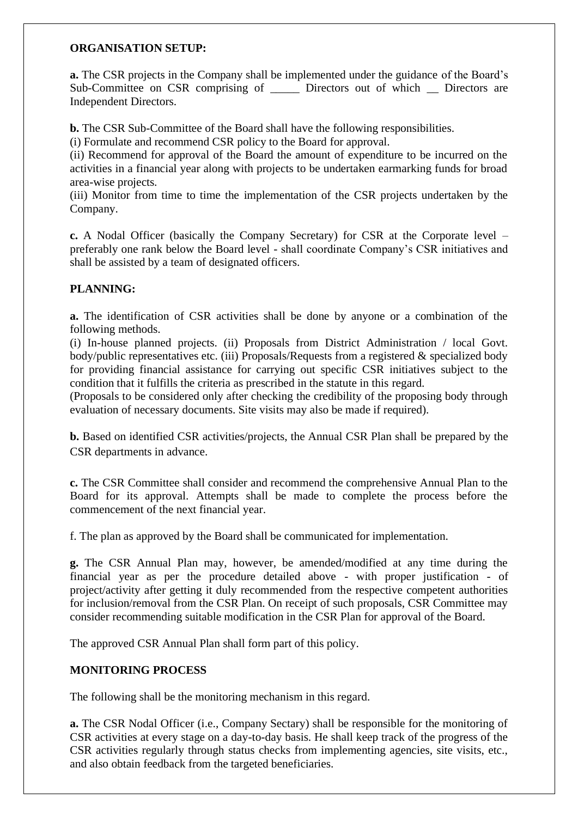#### **ORGANISATION SETUP:**

**a.** The CSR projects in the Company shall be implemented under the guidance of the Board's Sub-Committee on CSR comprising of \_\_\_\_\_\_ Directors out of which \_\_ Directors are Independent Directors.

**b.** The CSR Sub-Committee of the Board shall have the following responsibilities.

(i) Formulate and recommend CSR policy to the Board for approval.

(ii) Recommend for approval of the Board the amount of expenditure to be incurred on the activities in a financial year along with projects to be undertaken earmarking funds for broad area-wise projects.

(iii) Monitor from time to time the implementation of the CSR projects undertaken by the Company.

**c.** A Nodal Officer (basically the Company Secretary) for CSR at the Corporate level – preferably one rank below the Board level - shall coordinate Company's CSR initiatives and shall be assisted by a team of designated officers.

## **PLANNING:**

**a.** The identification of CSR activities shall be done by anyone or a combination of the following methods.

(i) In-house planned projects. (ii) Proposals from District Administration / local Govt. body/public representatives etc. (iii) Proposals/Requests from a registered & specialized body for providing financial assistance for carrying out specific CSR initiatives subject to the condition that it fulfills the criteria as prescribed in the statute in this regard.

(Proposals to be considered only after checking the credibility of the proposing body through evaluation of necessary documents. Site visits may also be made if required).

**b.** Based on identified CSR activities/projects, the Annual CSR Plan shall be prepared by the CSR departments in advance.

**c.** The CSR Committee shall consider and recommend the comprehensive Annual Plan to the Board for its approval. Attempts shall be made to complete the process before the commencement of the next financial year.

f. The plan as approved by the Board shall be communicated for implementation.

**g.** The CSR Annual Plan may, however, be amended/modified at any time during the financial year as per the procedure detailed above - with proper justification - of project/activity after getting it duly recommended from the respective competent authorities for inclusion/removal from the CSR Plan. On receipt of such proposals, CSR Committee may consider recommending suitable modification in the CSR Plan for approval of the Board.

The approved CSR Annual Plan shall form part of this policy.

## **MONITORING PROCESS**

The following shall be the monitoring mechanism in this regard.

**a.** The CSR Nodal Officer (i.e., Company Sectary) shall be responsible for the monitoring of CSR activities at every stage on a day-to-day basis. He shall keep track of the progress of the CSR activities regularly through status checks from implementing agencies, site visits, etc., and also obtain feedback from the targeted beneficiaries.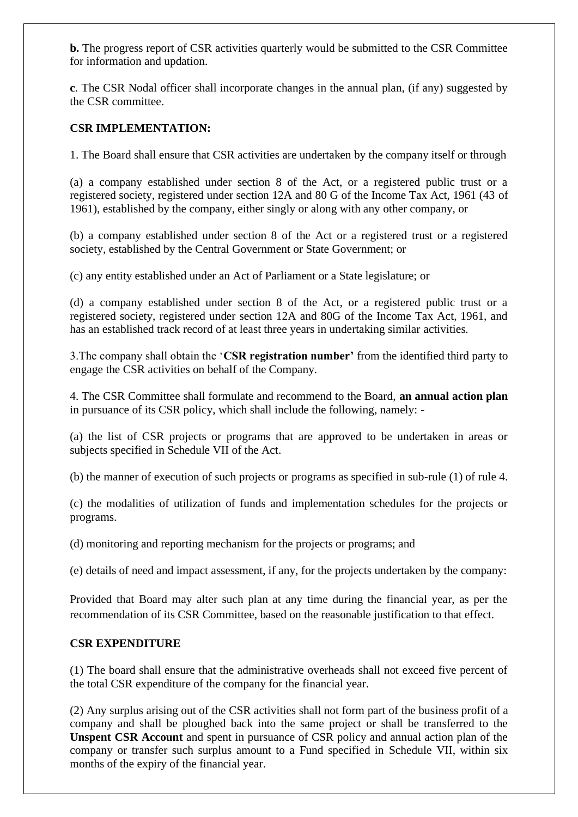**b.** The progress report of CSR activities quarterly would be submitted to the CSR Committee for information and updation.

**c**. The CSR Nodal officer shall incorporate changes in the annual plan, (if any) suggested by the CSR committee.

# **CSR IMPLEMENTATION:**

1. The Board shall ensure that CSR activities are undertaken by the company itself or through

(a) a company established under section 8 of the Act, or a registered public trust or a registered society, registered under section 12A and 80 G of the Income Tax Act, 1961 (43 of 1961), established by the company, either singly or along with any other company, or

(b) a company established under section 8 of the Act or a registered trust or a registered society, established by the Central Government or State Government; or

(c) any entity established under an Act of Parliament or a State legislature; or

(d) a company established under section 8 of the Act, or a registered public trust or a registered society, registered under section 12A and 80G of the Income Tax Act, 1961, and has an established track record of at least three years in undertaking similar activities.

3.The company shall obtain the '**CSR registration number'** from the identified third party to engage the CSR activities on behalf of the Company.

4. The CSR Committee shall formulate and recommend to the Board, **an annual action plan**  in pursuance of its CSR policy, which shall include the following, namely: -

(a) the list of CSR projects or programs that are approved to be undertaken in areas or subjects specified in Schedule VII of the Act.

(b) the manner of execution of such projects or programs as specified in sub-rule (1) of rule 4.

(c) the modalities of utilization of funds and implementation schedules for the projects or programs.

(d) monitoring and reporting mechanism for the projects or programs; and

(e) details of need and impact assessment, if any, for the projects undertaken by the company:

Provided that Board may alter such plan at any time during the financial year, as per the recommendation of its CSR Committee, based on the reasonable justification to that effect.

## **CSR EXPENDITURE**

(1) The board shall ensure that the administrative overheads shall not exceed five percent of the total CSR expenditure of the company for the financial year.

(2) Any surplus arising out of the CSR activities shall not form part of the business profit of a company and shall be ploughed back into the same project or shall be transferred to the **Unspent CSR Account** and spent in pursuance of CSR policy and annual action plan of the company or transfer such surplus amount to a Fund specified in Schedule VII, within six months of the expiry of the financial year.